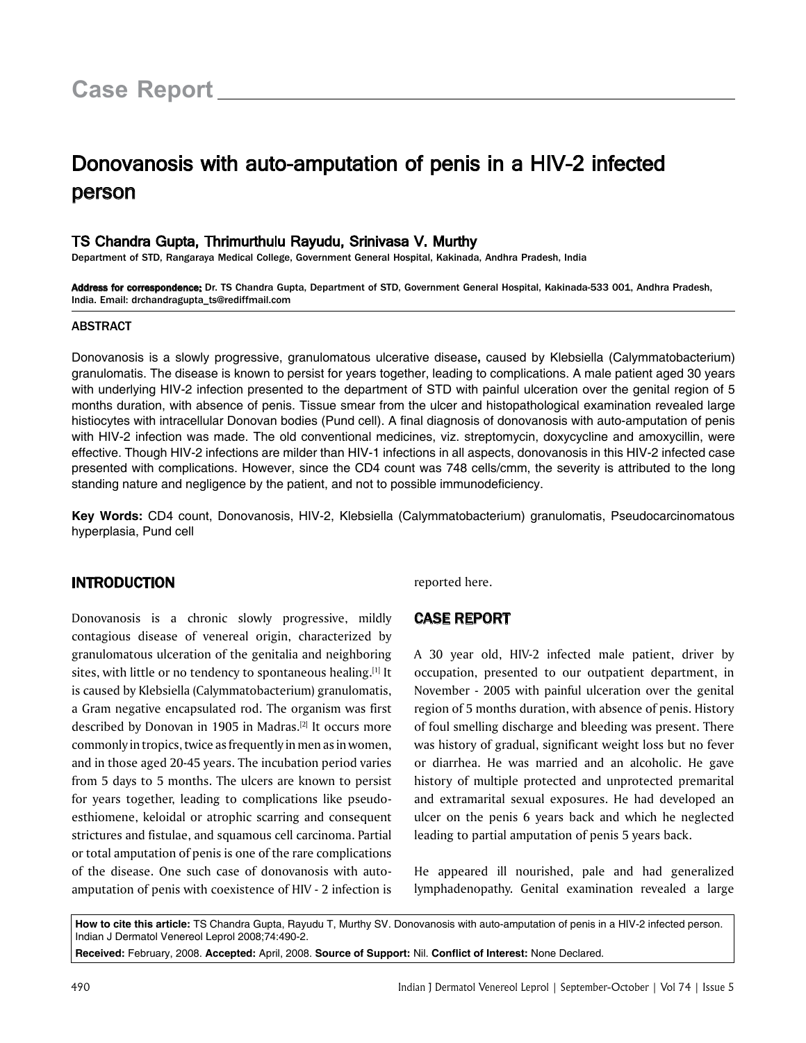# Donovanosis with auto-amputation of penis in a HIV-2 infected person

#### TS Chandra Gupta, Thrimurthulu Rayudu, Srinivasa V. Murthy

Department of STD, Rangaraya Medical College, Government General Hospital, Kakinada, Andhra Pradesh, India

Address for correspondence: Dr. TS Chandra Gupta, Department of STD, Government General Hospital, Kakinada-533 001, Andhra Pradesh, India. Email: drchandragupta\_ts@rediffmail.com

#### ABSTRACT

Donovanosis is a slowly progressive, granulomatous ulcerative disease**,** caused by Klebsiella (Calymmatobacterium) granulomatis. The disease is known to persist for years together, leading to complications. A male patient aged 30 years with underlying HIV-2 infection presented to the department of STD with painful ulceration over the genital region of 5 months duration, with absence of penis. Tissue smear from the ulcer and histopathological examination revealed large histiocytes with intracellular Donovan bodies (Pund cell). A final diagnosis of donovanosis with auto-amputation of penis with HIV-2 infection was made. The old conventional medicines, viz. streptomycin, doxycycline and amoxycillin, were effective. Though HIV-2 infections are milder than HIV-1 infections in all aspects, donovanosis in this HIV-2 infected case presented with complications. However, since the CD4 count was 748 cells/cmm, the severity is attributed to the long standing nature and negligence by the patient, and not to possible immunodeficiency.

**Key Words:** CD4 count, Donovanosis, HIV-2, Klebsiella (Calymmatobacterium) granulomatis, Pseudocarcinomatous hyperplasia, Pund cell

# INTRODUCTION

Donovanosis is a chronic slowly progressive, mildly contagious disease of venereal origin, characterized by granulomatous ulceration of the genitalia and neighboring sites, with little or no tendency to spontaneous healing.<sup>[1]</sup> It is caused by Klebsiella (Calymmatobacterium) granulomatis, a Gram negative encapsulated rod. The organism was first described by Donovan in 1905 in Madras.<sup>[2]</sup> It occurs more commonly in tropics, twice as frequently in men as in women, and in those aged 20-45 years. The incubation period varies from 5 days to 5 months. The ulcers are known to persist for years together, leading to complications like pseudoesthiomene, keloidal or atrophic scarring and consequent strictures and fistulae, and squamous cell carcinoma. Partial or total amputation of penis is one of the rare complications of the disease. One such case of donovanosis with autoamputation of penis with coexistence of HIV - 2 infection is reported here.

# Case Report

A 30 year old, HIV-2 infected male patient, driver by occupation, presented to our outpatient department, in November - 2005 with painful ulceration over the genital region of 5 months duration, with absence of penis. History of foul smelling discharge and bleeding was present. There was history of gradual, significant weight loss but no fever or diarrhea. He was married and an alcoholic. He gave history of multiple protected and unprotected premarital and extramarital sexual exposures. He had developed an ulcer on the penis 6 years back and which he neglected leading to partial amputation of penis 5 years back.

He appeared ill nourished, pale and had generalized lymphadenopathy. Genital examination revealed a large

**How to cite this article:** TS Chandra Gupta, Rayudu T, Murthy SV. Donovanosis with auto-amputation of penis in a HIV-2 infected person. Indian J Dermatol Venereol Leprol 2008;74:490-2.

**Received:** February, 2008. **Accepted:** April, 2008. **Source of Support:** Nil. **Conflict of Interest:** None Declared.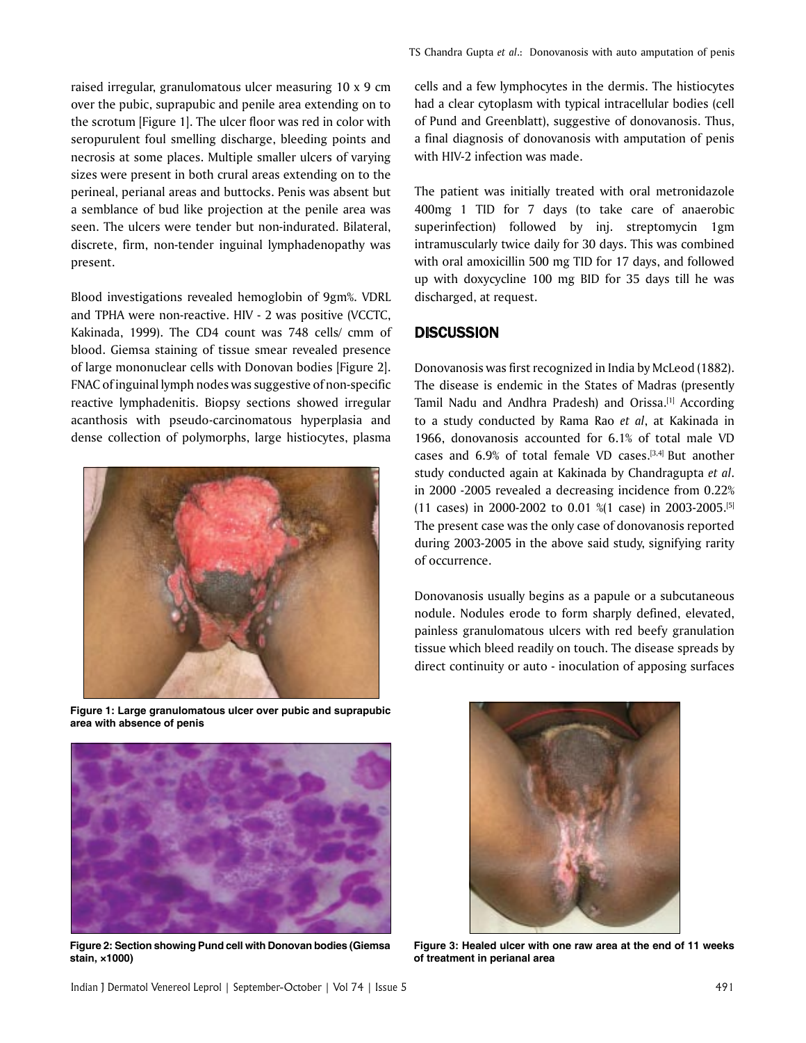raised irregular, granulomatous ulcer measuring 10 x 9 cm over the pubic, suprapubic and penile area extending on to the scrotum [Figure 1]. The ulcer floor was red in color with seropurulent foul smelling discharge, bleeding points and necrosis at some places. Multiple smaller ulcers of varying sizes were present in both crural areas extending on to the perineal, perianal areas and buttocks. Penis was absent but a semblance of bud like projection at the penile area was seen. The ulcers were tender but non-indurated. Bilateral, discrete, firm, non-tender inguinal lymphadenopathy was present.

Blood investigations revealed hemoglobin of 9gm%. VDRL and TPHA were non-reactive. HIV - 2 was positive (VCCTC, Kakinada, 1999). The CD4 count was 748 cells/ cmm of blood. Giemsa staining of tissue smear revealed presence of large mononuclear cells with Donovan bodies [Figure 2]. FNAC of inguinal lymph nodes was suggestive of non-specific reactive lymphadenitis. Biopsy sections showed irregular acanthosis with pseudo-carcinomatous hyperplasia and dense collection of polymorphs, large histiocytes, plasma



**Figure 1: Large granulomatous ulcer over pubic and suprapubic area with absence of penis**



**Figure 2: Section showing Pund cell with Donovan bodies (Giemsa stain, ×1000)**

cells and a few lymphocytes in the dermis. The histiocytes had a clear cytoplasm with typical intracellular bodies (cell of Pund and Greenblatt), suggestive of donovanosis. Thus, a final diagnosis of donovanosis with amputation of penis with HIV-2 infection was made.

The patient was initially treated with oral metronidazole 400mg 1 TID for 7 days (to take care of anaerobic superinfection) followed by inj. streptomycin 1gm intramuscularly twice daily for 30 days. This was combined with oral amoxicillin 500 mg TID for 17 days, and followed up with doxycycline 100 mg BID for 35 days till he was discharged, at request.

## **DISCUSSION**

Donovanosis was first recognized in India by McLeod (1882). The disease is endemic in the States of Madras (presently Tamil Nadu and Andhra Pradesh) and Orissa.[1] According to a study conducted by Rama Rao *et al*, at Kakinada in 1966, donovanosis accounted for 6.1% of total male VD cases and 6.9% of total female VD cases.[3,4] But another study conducted again at Kakinada by Chandragupta *et al*. in 2000 -2005 revealed a decreasing incidence from 0.22% (11 cases) in 2000-2002 to 0.01 %(1 case) in 2003-2005.[5] The present case was the only case of donovanosis reported during 2003-2005 in the above said study, signifying rarity of occurrence.

Donovanosis usually begins as a papule or a subcutaneous nodule. Nodules erode to form sharply defined, elevated, painless granulomatous ulcers with red beefy granulation tissue which bleed readily on touch. The disease spreads by direct continuity or auto - inoculation of apposing surfaces



**Figure 3: Healed ulcer with one raw area at the end of 11 weeks of treatment in perianal area**